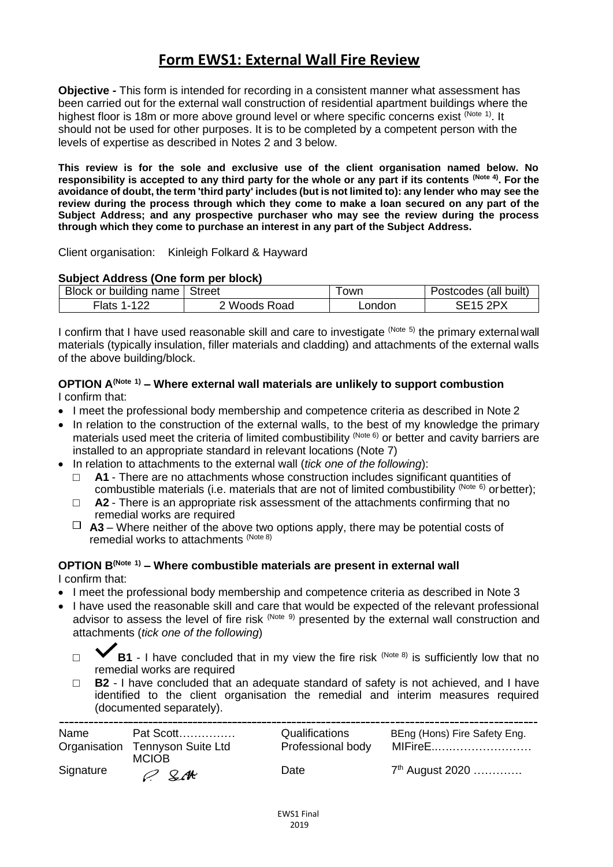## **Form EWS1: External Wall Fire Review**

**Objective -** This form is intended for recording in a consistent manner what assessment has been carried out for the external wall construction of residential apartment buildings where the highest floor is 18m or more above ground level or where specific concerns exist <sup>(Note 1)</sup>. It should not be used for other purposes. It is to be completed by a competent person with the levels of expertise as described in Notes 2 and 3 below.

**This review is for the sole and exclusive use of the client organisation named below. No responsibility is accepted to any third party for the whole or any part if its contents (Note 4). For the avoidance of doubt, the term 'third party' includes (but is not limited to): any lender who may see the review during the process through which they come to make a loan secured on any part of the Subject Address; and any prospective purchaser who may see the review during the process through which they come to purchase an interest in any part of the Subject Address.**

Client organisation: Kinleigh Folkard & Hayward

#### **Subject Address (One form per block)**

| Block or building name   Street |                   | owr    | Postcodes (all built) |
|---------------------------------|-------------------|--------|-----------------------|
| -lats                           | <b>Woods Road</b> | _ondon | $-15.20Y$             |

I confirm that I have used reasonable skill and care to investigate (Note 5) the primary external wall materials (typically insulation, filler materials and cladding) and attachments of the external walls of the above building/block.

#### **OPTION A(Note 1) – Where external wall materials are unlikely to support combustion** I confirm that:

- I meet the professional body membership and competence criteria as described in Note 2
- In relation to the construction of the external walls, to the best of my knowledge the primary materials used meet the criteria of limited combustibility (Note 6) or better and cavity barriers are installed to an appropriate standard in relevant locations (Note 7)
- In relation to attachments to the external wall (*tick one of the following*):
	- A1 There are no attachments whose construction includes significant quantities of combustible materials (i.e. materials that are not of limited combustibility (Note 6) or better);
	- □ **A2**  There is an appropriate risk assessment of the attachments confirming that no remedial works are required
	- $\Box$  **A3** Where neither of the above two options apply, there may be potential costs of remedial works to attachments (Note 8)

# **OPTION B(Note 1) – Where combustible materials are present in external wall**

I confirm that:

- I meet the professional body membership and competence criteria as described in Note 3
- I have used the reasonable skill and care that would be expected of the relevant professional advisor to assess the level of fire risk (Note 9) presented by the external wall construction and attachments (*tick one of the following*)
	- $\Box$  **B1** I have concluded that in my view the fire risk  $(Note 8)$  is sufficiently low that no remedial works are required
	- □ **B2**  I have concluded that an adequate standard of safety is not achieved, and I have identified to the client organisation the remedial and interim measures required (documented separately).

| Name      | Pat Scott                       | Qualifications    | BEng (Hons) Fire Safety Eng. |
|-----------|---------------------------------|-------------------|------------------------------|
|           | Organisation Tennyson Suite Ltd | Professional body | MIFireE                      |
| Signature | <b>MCIOB</b><br>$O$ SM          | Date              | 7 <sup>th</sup> August 2020  |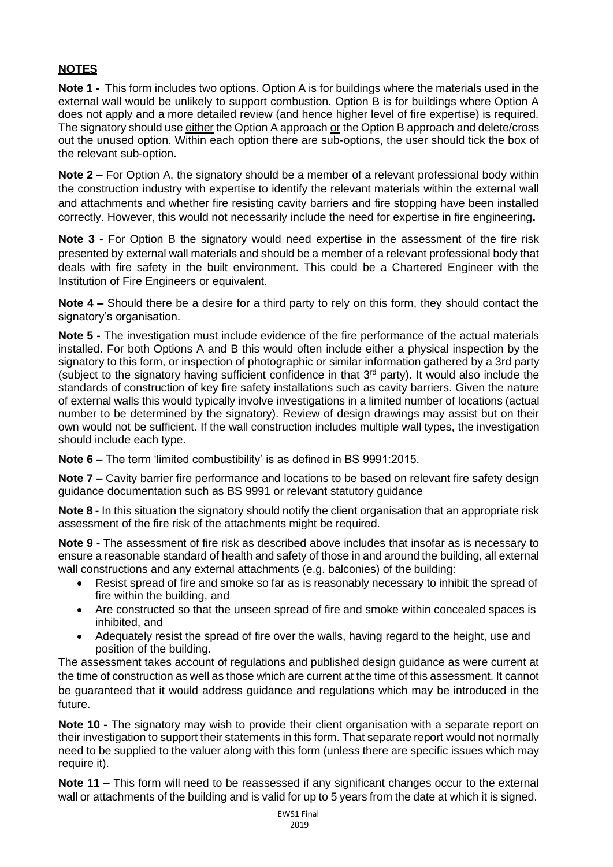### **NOTES**

**Note 1 -** This form includes two options. Option A is for buildings where the materials used in the external wall would be unlikely to support combustion. Option B is for buildings where Option A does not apply and a more detailed review (and hence higher level of fire expertise) is required. The signatory should use either the Option A approach or the Option B approach and delete/cross out the unused option. Within each option there are sub-options, the user should tick the box of the relevant sub-option.

**Note 2 –** For Option A, the signatory should be a member of a relevant professional body within the construction industry with expertise to identify the relevant materials within the external wall and attachments and whether fire resisting cavity barriers and fire stopping have been installed correctly. However, this would not necessarily include the need for expertise in fire engineering**.**

**Note 3 -** For Option B the signatory would need expertise in the assessment of the fire risk presented by external wall materials and should be a member of a relevant professional body that deals with fire safety in the built environment. This could be a Chartered Engineer with the Institution of Fire Engineers or equivalent.

**Note 4 –** Should there be a desire for a third party to rely on this form, they should contact the signatory's organisation.

**Note 5 -** The investigation must include evidence of the fire performance of the actual materials installed. For both Options A and B this would often include either a physical inspection by the signatory to this form, or inspection of photographic or similar information gathered by a 3rd party (subject to the signatory having sufficient confidence in that 3rd party). It would also include the standards of construction of key fire safety installations such as cavity barriers. Given the nature of external walls this would typically involve investigations in a limited number of locations (actual number to be determined by the signatory). Review of design drawings may assist but on their own would not be sufficient. If the wall construction includes multiple wall types, the investigation should include each type.

**Note 6 –** The term 'limited combustibility' is as defined in BS 9991:2015.

**Note 7 –** Cavity barrier fire performance and locations to be based on relevant fire safety design guidance documentation such as BS 9991 or relevant statutory guidance

**Note 8 -** In this situation the signatory should notify the client organisation that an appropriate risk assessment of the fire risk of the attachments might be required.

**Note 9 -** The assessment of fire risk as described above includes that insofar as is necessary to ensure a reasonable standard of health and safety of those in and around the building, all external wall constructions and any external attachments (e.g. balconies) of the building:

- Resist spread of fire and smoke so far as is reasonably necessary to inhibit the spread of fire within the building, and
- Are constructed so that the unseen spread of fire and smoke within concealed spaces is inhibited, and
- Adequately resist the spread of fire over the walls, having regard to the height, use and position of the building.

The assessment takes account of regulations and published design guidance as were current at the time of construction as well as those which are current at the time of this assessment. It cannot be guaranteed that it would address guidance and regulations which may be introduced in the future.

**Note 10 -** The signatory may wish to provide their client organisation with a separate report on their investigation to support their statements in this form. That separate report would not normally need to be supplied to the valuer along with this form (unless there are specific issues which may require it).

**Note 11 –** This form will need to be reassessed if any significant changes occur to the external wall or attachments of the building and is valid for up to 5 years from the date at which it is signed.